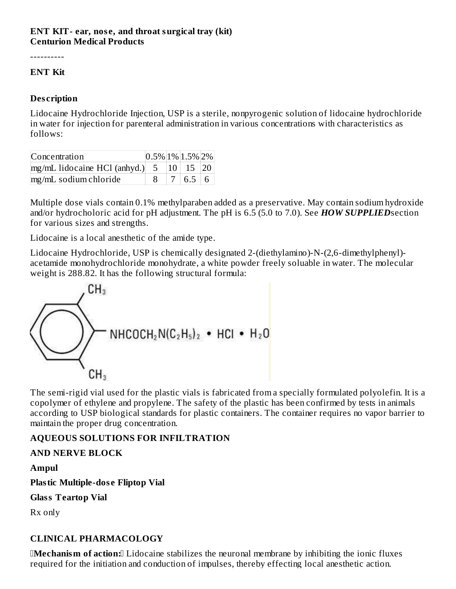#### **ENT KIT- ear, nos e, and throat surgical tray (kit) Centurion Medical Products**

----------

#### **ENT Kit**

#### **Des cription**

Lidocaine Hydrochloride Injection, USP is a sterile, nonpyrogenic solution of lidocaine hydrochloride in water for injection for parenteral administration in various concentrations with characteristics as follows:

| Concentration                    | $0.5\%$ 1% 1.5% 2% |              |  |
|----------------------------------|--------------------|--------------|--|
| $mg/mL$ lidocaine HCl (anhyd.) 5 |                    | $ 10 $ 15 20 |  |
| mg/mL sodium chloride            |                    | 7 6.5 6      |  |

Multiple dose vials contain 0.1% methylparaben added as a preservative. May contain sodium hydroxide and/or hydrocholoric acid for pH adjustment. The pH is 6.5 (5.0 to 7.0). See *HOW SUPPLIED*section for various sizes and strengths.

Lidocaine is a local anesthetic of the amide type.

Lidocaine Hydrochloride, USP is chemically designated 2-(diethylamino)-N-(2,6-dimethylphenyl) acetamide monohydrochloride monohydrate, a white powder freely soluable in water. The molecular weight is 288.82. It has the following structural formula:



The semi-rigid vial used for the plastic vials is fabricated from a specially formulated polyolefin. It is a copolymer of ethylene and propylene. The safety of the plastic has been confirmed by tests in animals according to USP biological standards for plastic containers. The container requires no vapor barrier to maintain the proper drug concentration.

#### **AQUEOUS SOLUTIONS FOR INFILTRATION**

#### **AND NERVE BLOCK**

**Ampul**

**Plastic Multiple-dos e Fliptop Vial**

**Glass Teartop Vial**

Rx only

#### **CLINICAL PHARMACOLOGY**

**Mechanism of action:** Lidocaine stabilizes the neuronal membrane by inhibiting the ionic fluxes required for the initiation and conduction of impulses, thereby effecting local anesthetic action.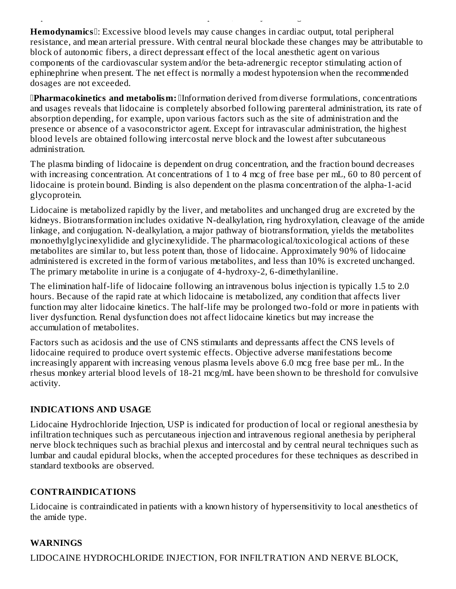**Hemodynamics**: Excessive blood levels may cause changes in cardiac output, total peripheral resistance, and mean arterial pressure. With central neural blockade these changes may be attributable to block of autonomic fibers, a direct depressant effect of the local anesthetic agent on various components of the cardiovascular system and/or the beta-adrenergic receptor stimulating action of ephinephrine when present. The net effect is normally a modest hypotension when the recommended dosages are not exceeded.

required for the initiation and conduction of impulses, thereby effecting local anesthetic action.

**Pharmacokinetics and metabolism:**Information derived from diverse formulations, concentrations and usages reveals that lidocaine is completely absorbed following parenteral administration, its rate of absorption depending, for example, upon various factors such as the site of administration and the presence or absence of a vasoconstrictor agent. Except for intravascular administration, the highest blood levels are obtained following intercostal nerve block and the lowest after subcutaneous administration.

The plasma binding of lidocaine is dependent on drug concentration, and the fraction bound decreases with increasing concentration. At concentrations of 1 to 4 mcg of free base per mL, 60 to 80 percent of lidocaine is protein bound. Binding is also dependent on the plasma concentration of the alpha-1-acid glycoprotein.

Lidocaine is metabolized rapidly by the liver, and metabolites and unchanged drug are excreted by the kidneys. Biotransformation includes oxidative N-dealkylation, ring hydroxylation, cleavage of the amide linkage, and conjugation. N-dealkylation, a major pathway of biotransformation, yields the metabolites monoethylglycinexylidide and glycinexylidide. The pharmacological/toxicological actions of these metabolites are similar to, but less potent than, those of lidocaine. Approximately 90% of lidocaine administered is excreted in the form of various metabolites, and less than 10% is excreted unchanged. The primary metabolite in urine is a conjugate of 4-hydroxy-2, 6-dimethylaniline.

The elimination half-life of lidocaine following an intravenous bolus injection is typically 1.5 to 2.0 hours. Because of the rapid rate at which lidocaine is metabolized, any condition that affects liver function may alter lidocaine kinetics. The half-life may be prolonged two-fold or more in patients with liver dysfunction. Renal dysfunction does not affect lidocaine kinetics but may increase the accumulation of metabolites.

Factors such as acidosis and the use of CNS stimulants and depressants affect the CNS levels of lidocaine required to produce overt systemic effects. Objective adverse manifestations become increasingly apparent with increasing venous plasma levels above 6.0 mcg free base per mL. In the rhesus monkey arterial blood levels of 18-21 mcg/mL have been shown to be threshold for convulsive activity.

#### **INDICATIONS AND USAGE**

Lidocaine Hydrochloride Injection, USP is indicated for production of local or regional anesthesia by infiltration techniques such as percutaneous injection and intravenous regional anethesia by peripheral nerve block techniques such as brachial plexus and intercostal and by central neural techniques such as lumbar and caudal epidural blocks, when the accepted procedures for these techniques as described in standard textbooks are observed.

#### **CONTRAINDICATIONS**

Lidocaine is contraindicated in patients with a known history of hypersensitivity to local anesthetics of the amide type.

#### **WARNINGS**

LIDOCAINE HYDROCHLORIDE INJECTION, FOR INFILTRATION AND NERVE BLOCK,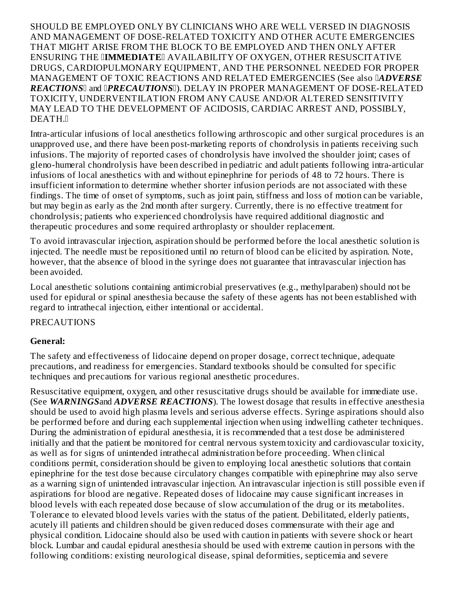SHOULD BE EMPLOYED ONLY BY CLINICIANS WHO ARE WELL VERSED IN DIAGNOSIS AND MANAGEMENT OF DOSE-RELATED TOXICITY AND OTHER ACUTE EMERGENCIES THAT MIGHT ARISE FROM THE BLOCK TO BE EMPLOYED AND THEN ONLY AFTER ENSURING THE **IIMMEDIATE** I AVAILABILITY OF OXYGEN, OTHER RESUSCITATIVE DRUGS, CARDIOPULMONARY EQUIPMENT, AND THE PERSONNEL NEEDED FOR PROPER MANAGEMENT OF TOXIC REACTIONS AND RELATED EMERGENCIES (See also *ADVERSE REACTIONS* and *PRECAUTIONS*). DELAY IN PROPER MANAGEMENT OF DOSE-RELATED TOXICITY, UNDERVENTILATION FROM ANY CAUSE AND/OR ALTERED SENSITIVITY MAY LEAD TO THE DEVELOPMENT OF ACIDOSIS, CARDIAC ARREST AND, POSSIBLY, DEATH.

Intra-articular infusions of local anesthetics following arthroscopic and other surgical procedures is an unapproved use, and there have been post-marketing reports of chondrolysis in patients receiving such infusions. The majority of reported cases of chondrolysis have involved the shoulder joint; cases of gleno-humeral chondrolysis have been described in pediatric and adult patients following intra-articular infusions of local anesthetics with and without epinephrine for periods of 48 to 72 hours. There is insufficient information to determine whether shorter infusion periods are not associated with these findings. The time of onset of symptoms, such as joint pain, stiffness and loss of motion can be variable, but may begin as early as the 2nd month after surgery. Currently, there is no effective treatment for chondrolysis; patients who experienced chondrolysis have required additional diagnostic and therapeutic procedures and some required arthroplasty or shoulder replacement.

To avoid intravascular injection, aspiration should be performed before the local anesthetic solution is injected. The needle must be repositioned until no return of blood can be elicited by aspiration. Note, however, that the absence of blood in the syringe does not guarantee that intravascular injection has been avoided.

Local anesthetic solutions containing antimicrobial preservatives (e.g., methylparaben) should not be used for epidural or spinal anesthesia because the safety of these agents has not been established with regard to intrathecal injection, either intentional or accidental.

#### PRECAUTIONS

#### **General:**

The safety and effectiveness of lidocaine depend on proper dosage, correct technique, adequate precautions, and readiness for emergencies. Standard textbooks should be consulted for specific techniques and precautions for various regional anesthetic procedures.

Resuscitative equipment, oxygen, and other resuscitative drugs should be available for immediate use. (See *WARNINGS*and *ADVERSE REACTIONS*). The lowest dosage that results in effective anesthesia should be used to avoid high plasma levels and serious adverse effects. Syringe aspirations should also be performed before and during each supplemental injection when using indwelling catheter techniques. During the administration of epidural anesthesia, it is recommended that a test dose be administered initially and that the patient be monitored for central nervous system toxicity and cardiovascular toxicity, as well as for signs of unintended intrathecal administration before proceeding. When clinical conditions permit, consideration should be given to employing local anesthetic solutions that contain epinephrine for the test dose because circulatory changes compatible with epinephrine may also serve as a warning sign of unintended intravascular injection. An intravascular injection is still possible even if aspirations for blood are negative. Repeated doses of lidocaine may cause significant increases in blood levels with each repeated dose because of slow accumulation of the drug or its metabolites. Tolerance to elevated blood levels varies with the status of the patient. Debilitated, elderly patients, acutely ill patients and children should be given reduced doses commensurate with their age and physical condition. Lidocaine should also be used with caution in patients with severe shock or heart block. Lumbar and caudal epidural anesthesia should be used with extreme caution in persons with the following conditions: existing neurological disease, spinal deformities, septicemia and severe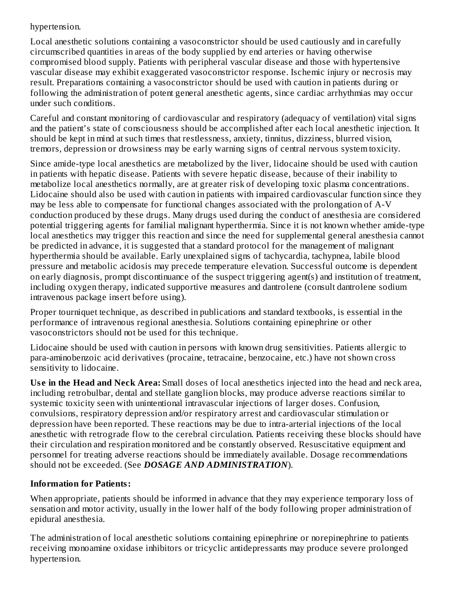#### hypertension.

Local anesthetic solutions containing a vasoconstrictor should be used cautiously and in carefully circumscribed quantities in areas of the body supplied by end arteries or having otherwise compromised blood supply. Patients with peripheral vascular disease and those with hypertensive vascular disease may exhibit exaggerated vasoconstrictor response. Ischemic injury or necrosis may result. Preparations containing a vasoconstrictor should be used with caution in patients during or following the administration of potent general anesthetic agents, since cardiac arrhythmias may occur under such conditions.

Careful and constant monitoring of cardiovascular and respiratory (adequacy of ventilation) vital signs and the patient's state of consciousness should be accomplished after each local anesthetic injection. It should be kept in mind at such times that restlessness, anxiety, tinnitus, dizziness, blurred vision, tremors, depression or drowsiness may be early warning signs of central nervous system toxicity.

Since amide-type local anesthetics are metabolized by the liver, lidocaine should be used with caution in patients with hepatic disease. Patients with severe hepatic disease, because of their inability to metabolize local anesthetics normally, are at greater risk of developing toxic plasma concentrations. Lidocaine should also be used with caution in patients with impaired cardiovascular function since they may be less able to compensate for functional changes associated with the prolongation of A-V conduction produced by these drugs. Many drugs used during the conduct of anesthesia are considered potential triggering agents for familial malignant hyperthermia. Since it is not known whether amide-type local anesthetics may trigger this reaction and since the need for supplemental general anesthesia cannot be predicted in advance, it is suggested that a standard protocol for the management of malignant hyperthermia should be available. Early unexplained signs of tachycardia, tachypnea, labile blood pressure and metabolic acidosis may precede temperature elevation. Successful outcome is dependent on early diagnosis, prompt discontinuance of the suspect triggering agent(s) and institution of treatment, including oxygen therapy, indicated supportive measures and dantrolene (consult dantrolene sodium intravenous package insert before using).

Proper tourniquet technique, as described in publications and standard textbooks, is essential in the performance of intravenous regional anesthesia. Solutions containing epinephrine or other vasoconstrictors should not be used for this technique.

Lidocaine should be used with caution in persons with known drug sensitivities. Patients allergic to para-aminobenzoic acid derivatives (procaine, tetracaine, benzocaine, etc.) have not shown cross sensitivity to lidocaine.

**Us e in the Head and Neck Area:** Small doses of local anesthetics injected into the head and neck area, including retrobulbar, dental and stellate ganglion blocks, may produce adverse reactions similar to systemic toxicity seen with unintentional intravascular injections of larger doses. Confusion, convulsions, respiratory depression and/or respiratory arrest and cardiovascular stimulation or depression have been reported. These reactions may be due to intra-arterial injections of the local anesthetic with retrograde flow to the cerebral circulation. Patients receiving these blocks should have their circulation and respiration monitored and be constantly observed. Resuscitative equipment and personnel for treating adverse reactions should be immediately available. Dosage recommendations should not be exceeded. (See *DOSAGE AND ADMINISTRATION*).

#### **Information for Patients:**

When appropriate, patients should be informed in advance that they may experience temporary loss of sensation and motor activity, usually in the lower half of the body following proper administration of epidural anesthesia.

The administration of local anesthetic solutions containing epinephrine or norepinephrine to patients receiving monoamine oxidase inhibitors or tricyclic antidepressants may produce severe prolonged hypertension.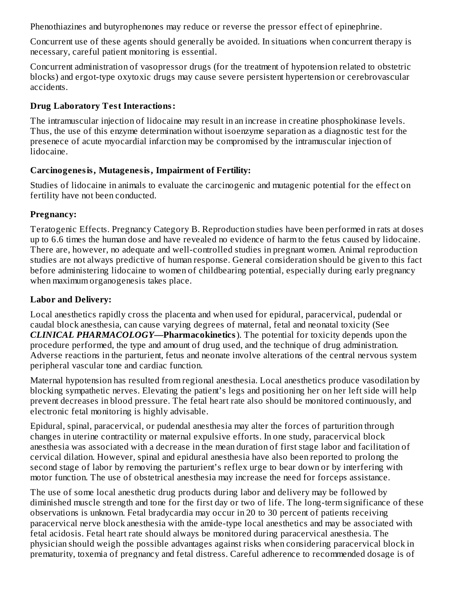Phenothiazines and butyrophenones may reduce or reverse the pressor effect of epinephrine.

Concurrent use of these agents should generally be avoided. In situations when concurrent therapy is necessary, careful patient monitoring is essential.

Concurrent administration of vasopressor drugs (for the treatment of hypotension related to obstetric blocks) and ergot-type oxytoxic drugs may cause severe persistent hypertension or cerebrovascular accidents.

#### **Drug Laboratory Test Interactions:**

The intramuscular injection of lidocaine may result in an increase in creatine phosphokinase levels. Thus, the use of this enzyme determination without isoenzyme separation as a diagnostic test for the presenece of acute myocardial infarction may be compromised by the intramuscular injection of lidocaine.

#### **Carcinogenesis, Mutagenesis, Impairment of Fertility:**

Studies of lidocaine in animals to evaluate the carcinogenic and mutagenic potential for the effect on fertility have not been conducted.

#### **Pregnancy:**

Teratogenic Effects. Pregnancy Category B. Reproduction studies have been performed in rats at doses up to 6.6 times the human dose and have revealed no evidence of harm to the fetus caused by lidocaine. There are, however, no adequate and well-controlled studies in pregnant women. Animal reproduction studies are not always predictive of human response. General consideration should be given to this fact before administering lidocaine to women of childbearing potential, especially during early pregnancy when maximum organogenesis takes place.

#### **Labor and Delivery:**

Local anesthetics rapidly cross the placenta and when used for epidural, paracervical, pudendal or caudal block anesthesia, can cause varying degrees of maternal, fetal and neonatal toxicity (See *CLINICAL PHARMACOLOGY***—Pharmacokinetics**). The potential for toxicity depends upon the procedure performed, the type and amount of drug used, and the technique of drug administration. Adverse reactions in the parturient, fetus and neonate involve alterations of the central nervous system peripheral vascular tone and cardiac function.

Maternal hypotension has resulted from regional anesthesia. Local anesthetics produce vasodilation by blocking sympathetic nerves. Elevating the patient's legs and positioning her on her left side will help prevent decreases in blood pressure. The fetal heart rate also should be monitored continuously, and electronic fetal monitoring is highly advisable.

Epidural, spinal, paracervical, or pudendal anesthesia may alter the forces of parturition through changes in uterine contractility or maternal expulsive efforts. In one study, paracervical block anesthesia was associated with a decrease in the mean duration of first stage labor and facilitation of cervical dilation. However, spinal and epidural anesthesia have also been reported to prolong the second stage of labor by removing the parturient's reflex urge to bear down or by interfering with motor function. The use of obstetrical anesthesia may increase the need for forceps assistance.

The use of some local anesthetic drug products during labor and delivery may be followed by diminished muscle strength and tone for the first day or two of life. The long-term significance of these observations is unknown. Fetal bradycardia may occur in 20 to 30 percent of patients receiving paracervical nerve block anesthesia with the amide-type local anesthetics and may be associated with fetal acidosis. Fetal heart rate should always be monitored during paracervical anesthesia. The physician should weigh the possible advantages against risks when considering paracervical block in prematurity, toxemia of pregnancy and fetal distress. Careful adherence to recommended dosage is of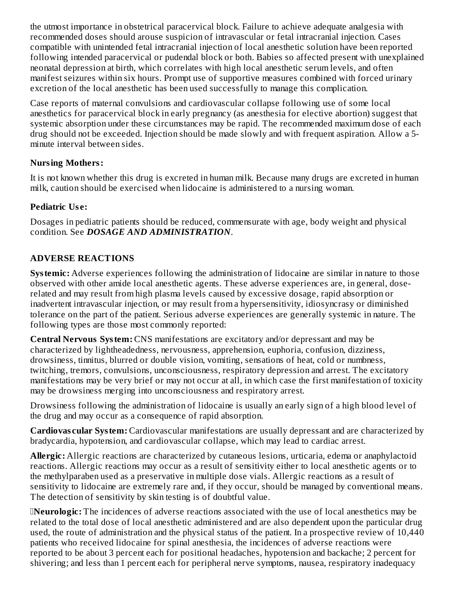the utmost importance in obstetrical paracervical block. Failure to achieve adequate analgesia with recommended doses should arouse suspicion of intravascular or fetal intracranial injection. Cases compatible with unintended fetal intracranial injection of local anesthetic solution have been reported following intended paracervical or pudendal block or both. Babies so affected present with unexplained neonatal depression at birth, which correlates with high local anesthetic serum levels, and often manifest seizures within six hours. Prompt use of supportive measures combined with forced urinary excretion of the local anesthetic has been used successfully to manage this complication.

Case reports of maternal convulsions and cardiovascular collapse following use of some local anesthetics for paracervical block in early pregnancy (as anesthesia for elective abortion) suggest that systemic absorption under these circumstances may be rapid. The recommended maximum dose of each drug should not be exceeded. Injection should be made slowly and with frequent aspiration. Allow a 5 minute interval between sides.

#### **Nursing Mothers:**

It is not known whether this drug is excreted in human milk. Because many drugs are excreted in human milk, caution should be exercised when lidocaine is administered to a nursing woman.

#### **Pediatric Us e:**

Dosages in pediatric patients should be reduced, commensurate with age, body weight and physical condition. See *DOSAGE AND ADMINISTRATION*.

#### **ADVERSE REACTIONS**

**Systemic:** Adverse experiences following the administration of lidocaine are similar in nature to those observed with other amide local anesthetic agents. These adverse experiences are, in general, doserelated and may result from high plasma levels caused by excessive dosage, rapid absorption or inadvertent intravascular injection, or may result from a hypersensitivity, idiosyncrasy or diminished tolerance on the part of the patient. Serious adverse experiences are generally systemic in nature. The following types are those most commonly reported:

**Central Nervous System:** CNS manifestations are excitatory and/or depressant and may be characterized by lightheadedness, nervousness, apprehension, euphoria, confusion, dizziness, drowsiness, tinnitus, blurred or double vision, vomiting, sensations of heat, cold or numbness, twitching, tremors, convulsions, unconsciousness, respiratory depression and arrest. The excitatory manifestations may be very brief or may not occur at all, in which case the first manifestation of toxicity may be drowsiness merging into unconsciousness and respiratory arrest.

Drowsiness following the administration of lidocaine is usually an early sign of a high blood level of the drug and may occur as a consequence of rapid absorption.

**Cardiovas cular System:** Cardiovascular manifestations are usually depressant and are characterized by bradycardia, hypotension, and cardiovascular collapse, which may lead to cardiac arrest.

**Allergic:** Allergic reactions are characterized by cutaneous lesions, urticaria, edema or anaphylactoid reactions. Allergic reactions may occur as a result of sensitivity either to local anesthetic agents or to the methylparaben used as a preservative in multiple dose vials. Allergic reactions as a result of sensitivity to lidocaine are extremely rare and, if they occur, should be managed by conventional means. The detection of sensitivity by skin testing is of doubtful value.

**Neurologic:** The incidences of adverse reactions associated with the use of local anesthetics may be related to the total dose of local anesthetic administered and are also dependent upon the particular drug used, the route of administration and the physical status of the patient. In a prospective review of 10,440 patients who received lidocaine for spinal anesthesia, the incidences of adverse reactions were reported to be about 3 percent each for positional headaches, hypotension and backache; 2 percent for shivering; and less than 1 percent each for peripheral nerve symptoms, nausea, respiratory inadequacy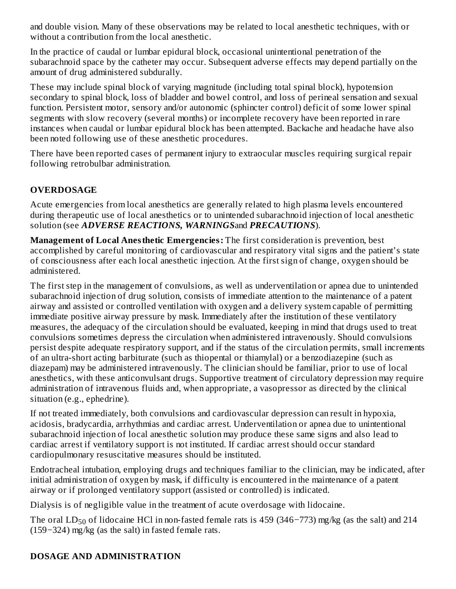and double vision. Many of these observations may be related to local anesthetic techniques, with or without a contribution from the local anesthetic.

In the practice of caudal or lumbar epidural block, occasional unintentional penetration of the subarachnoid space by the catheter may occur. Subsequent adverse effects may depend partially on the amount of drug administered subdurally.

These may include spinal block of varying magnitude (including total spinal block), hypotension secondary to spinal block, loss of bladder and bowel control, and loss of perineal sensation and sexual function. Persistent motor, sensory and/or autonomic (sphincter control) deficit of some lower spinal segments with slow recovery (several months) or incomplete recovery have been reported in rare instances when caudal or lumbar epidural block has been attempted. Backache and headache have also been noted following use of these anesthetic procedures.

There have been reported cases of permanent injury to extraocular muscles requiring surgical repair following retrobulbar administration.

#### **OVERDOSAGE**

Acute emergencies from local anesthetics are generally related to high plasma levels encountered during therapeutic use of local anesthetics or to unintended subarachnoid injection of local anesthetic solution (see *ADVERSE REACTIONS, WARNINGS*and *PRECAUTIONS*).

**Management of Local Anesthetic Emergencies:** The first consideration is prevention, best accomplished by careful monitoring of cardiovascular and respiratory vital signs and the patient's state of consciousness after each local anesthetic injection. At the first sign of change, oxygen should be administered.

The first step in the management of convulsions, as well as underventilation or apnea due to unintended subarachnoid injection of drug solution, consists of immediate attention to the maintenance of a patent airway and assisted or controlled ventilation with oxygen and a delivery system capable of permitting immediate positive airway pressure by mask. Immediately after the institution of these ventilatory measures, the adequacy of the circulation should be evaluated, keeping in mind that drugs used to treat convulsions sometimes depress the circulation when administered intravenously. Should convulsions persist despite adequate respiratory support, and if the status of the circulation permits, small increments of an ultra-short acting barbiturate (such as thiopental or thiamylal) or a benzodiazepine (such as diazepam) may be administered intravenously. The clinician should be familiar, prior to use of local anesthetics, with these anticonvulsant drugs. Supportive treatment of circulatory depression may require administration of intravenous fluids and, when appropriate, a vasopressor as directed by the clinical situation (e.g., ephedrine).

If not treated immediately, both convulsions and cardiovascular depression can result in hypoxia, acidosis, bradycardia, arrhythmias and cardiac arrest. Underventilation or apnea due to unintentional subarachnoid injection of local anesthetic solution may produce these same signs and also lead to cardiac arrest if ventilatory support is not instituted. If cardiac arrest should occur standard cardiopulmonary resuscitative measures should be instituted.

Endotracheal intubation, employing drugs and techniques familiar to the clinician, may be indicated, after initial administration of oxygen by mask, if difficulty is encountered in the maintenance of a patent airway or if prolonged ventilatory support (assisted or controlled) is indicated.

Dialysis is of negligible value in the treatment of acute overdosage with lidocaine.

The oral  $LD_{50}$  of lidocaine HCl in non-fasted female rats is 459 (346–773) mg/kg (as the salt) and 214 (159−324) mg/kg (as the salt) in fasted female rats.

#### **DOSAGE AND ADMINISTRATION**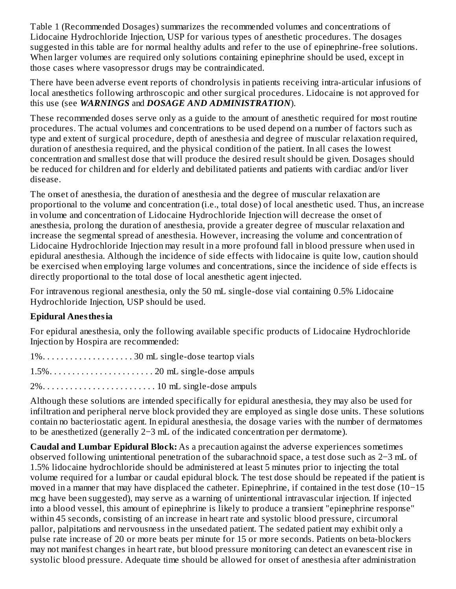Table 1 (Recommended Dosages) summarizes the recommended volumes and concentrations of Lidocaine Hydrochloride Injection, USP for various types of anesthetic procedures. The dosages suggested in this table are for normal healthy adults and refer to the use of epinephrine-free solutions. When larger volumes are required only solutions containing epinephrine should be used, except in those cases where vasopressor drugs may be contraindicated.

There have been adverse event reports of chondrolysis in patients receiving intra-articular infusions of local anesthetics following arthroscopic and other surgical procedures. Lidocaine is not approved for this use (see *WARNINGS* and *DOSAGE AND ADMINISTRATION*).

These recommended doses serve only as a guide to the amount of anesthetic required for most routine procedures. The actual volumes and concentrations to be used depend on a number of factors such as type and extent of surgical procedure, depth of anesthesia and degree of muscular relaxation required, duration of anesthesia required, and the physical condition of the patient. In all cases the lowest concentration and smallest dose that will produce the desired result should be given. Dosages should be reduced for children and for elderly and debilitated patients and patients with cardiac and/or liver disease.

The onset of anesthesia, the duration of anesthesia and the degree of muscular relaxation are proportional to the volume and concentration (i.e., total dose) of local anesthetic used. Thus, an increase in volume and concentration of Lidocaine Hydrochloride Injection will decrease the onset of anesthesia, prolong the duration of anesthesia, provide a greater degree of muscular relaxation and increase the segmental spread of anesthesia. However, increasing the volume and concentration of Lidocaine Hydrochloride Injection may result in a more profound fall in blood pressure when used in epidural anesthesia. Although the incidence of side effects with lidocaine is quite low, caution should be exercised when employing large volumes and concentrations, since the incidence of side effects is directly proportional to the total dose of local anesthetic agent injected.

For intravenous regional anesthesia, only the 50 mL single-dose vial containing 0.5% Lidocaine Hydrochloride Injection, USP should be used.

#### **Epidural Anesthesia**

For epidural anesthesia, only the following available specific products of Lidocaine Hydrochloride Injection by Hospira are recommended:

Although these solutions are intended specifically for epidural anesthesia, they may also be used for infiltration and peripheral nerve block provided they are employed as single dose units. These solutions contain no bacteriostatic agent. In epidural anesthesia, the dosage varies with the number of dermatomes to be anesthetized (generally 2−3 mL of the indicated concentration per dermatome).

**Caudal and Lumbar Epidural Block:** As a precaution against the adverse experiences sometimes observed following unintentional penetration of the subarachnoid space, a test dose such as 2−3 mL of 1.5% lidocaine hydrochloride should be administered at least 5 minutes prior to injecting the total volume required for a lumbar or caudal epidural block. The test dose should be repeated if the patient is moved in a manner that may have displaced the catheter. Epinephrine, if contained in the test dose (10−15 mcg have been suggested), may serve as a warning of unintentional intravascular injection. If injected into a blood vessel, this amount of epinephrine is likely to produce a transient "epinephrine response" within 45 seconds, consisting of an increase in heart rate and systolic blood pressure, circumoral pallor, palpitations and nervousness in the unsedated patient. The sedated patient may exhibit only a pulse rate increase of 20 or more beats per minute for 15 or more seconds. Patients on beta-blockers may not manifest changes in heart rate, but blood pressure monitoring can detect an evanescent rise in systolic blood pressure. Adequate time should be allowed for onset of anesthesia after administration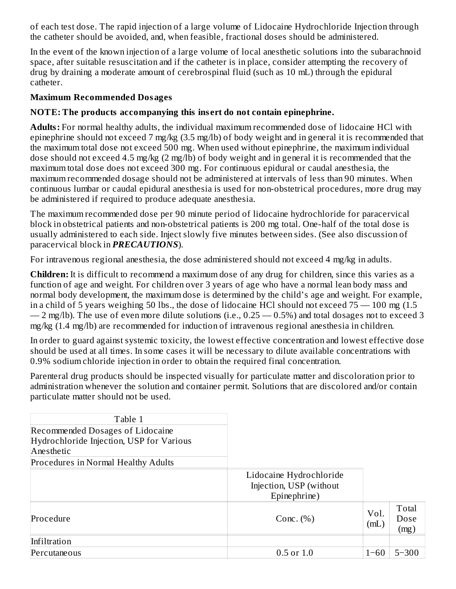of each test dose. The rapid injection of a large volume of Lidocaine Hydrochloride Injection through the catheter should be avoided, and, when feasible, fractional doses should be administered.

In the event of the known injection of a large volume of local anesthetic solutions into the subarachnoid space, after suitable resuscitation and if the catheter is in place, consider attempting the recovery of drug by draining a moderate amount of cerebrospinal fluid (such as 10 mL) through the epidural catheter.

#### **Maximum Recommended Dosages**

#### **NOTE: The products accompanying this ins ert do not contain epinephrine.**

**Adults:** For normal healthy adults, the individual maximum recommended dose of lidocaine HCl with epinephrine should not exceed 7 mg/kg (3.5 mg/lb) of body weight and in general it is recommended that the maximum total dose not exceed 500 mg. When used without epinephrine, the maximum individual dose should not exceed 4.5 mg/kg (2 mg/lb) of body weight and in general it is recommended that the maximum total dose does not exceed 300 mg. For continuous epidural or caudal anesthesia, the maximum recommended dosage should not be administered at intervals of less than 90 minutes. When continuous lumbar or caudal epidural anesthesia is used for non-obstetrical procedures, more drug may be administered if required to produce adequate anesthesia.

The maximum recommended dose per 90 minute period of lidocaine hydrochloride for paracervical block in obstetrical patients and non-obstetrical patients is 200 mg total. One-half of the total dose is usually administered to each side. Inject slowly five minutes between sides. (See also discussion of paracervical block in *PRECAUTIONS*).

For intravenous regional anesthesia, the dose administered should not exceed 4 mg/kg in adults.

**Children:** It is difficult to recommend a maximum dose of any drug for children, since this varies as a function of age and weight. For children over 3 years of age who have a normal lean body mass and normal body development, the maximum dose is determined by the child's age and weight. For example, in a child of 5 years weighing 50 lbs., the dose of lidocaine HCl should not exceed 75 — 100 mg (1.5  $-2$  mg/lb). The use of even more dilute solutions (i.e., 0.25  $-$  0.5%) and total dosages not to exceed 3 mg/kg (1.4 mg/lb) are recommended for induction of intravenous regional anesthesia in children.

In order to guard against systemic toxicity, the lowest effective concentration and lowest effective dose should be used at all times. In some cases it will be necessary to dilute available concentrations with 0.9% sodium chloride injection in order to obtain the required final concentration.

Parenteral drug products should be inspected visually for particulate matter and discoloration prior to administration whenever the solution and container permit. Solutions that are discolored and/or contain particulate matter should not be used.

| Table 1                                  |                         |              |                       |
|------------------------------------------|-------------------------|--------------|-----------------------|
| Recommended Dosages of Lidocaine         |                         |              |                       |
| Hydrochloride Injection, USP for Various |                         |              |                       |
| Anesthetic                               |                         |              |                       |
| Procedures in Normal Healthy Adults      |                         |              |                       |
|                                          | Lidocaine Hydrochloride |              |                       |
|                                          | Injection, USP (without |              |                       |
|                                          | Epinephrine)            |              |                       |
| Procedure                                | Conc. $(\%)$            | Vol.<br>(mL) | Total<br>Dose<br>(mg) |
| Infiltration                             |                         |              |                       |
| Percutaneous                             | 0.5 or 1.0              | $1 - 60$     | $5 - 300$             |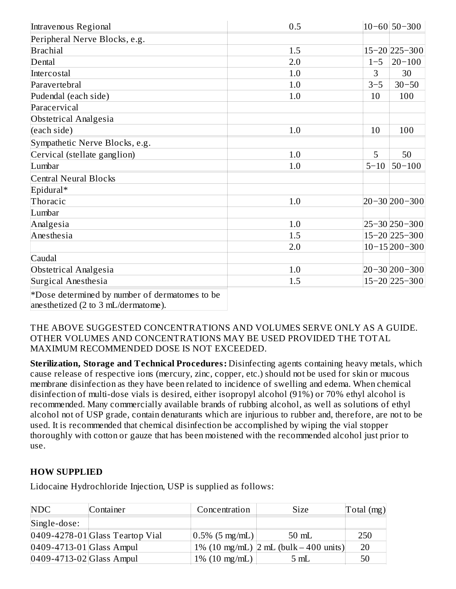| Intravenous Regional                           | 0.5 |          | $10 - 60$ 50 - 300        |
|------------------------------------------------|-----|----------|---------------------------|
| Peripheral Nerve Blocks, e.g.                  |     |          |                           |
| <b>Brachial</b>                                | 1.5 |          | 15-20 225-300             |
| Dental                                         | 2.0 | $1 - 5$  | $20 - 100$                |
| Intercostal                                    | 1.0 | 3        | 30                        |
| Paravertebral                                  | 1.0 | $3 - 5$  | $30 - 50$                 |
| Pudendal (each side)                           | 1.0 | 10       | 100                       |
| Paracervical                                   |     |          |                           |
| Obstetrical Analgesia                          |     |          |                           |
| (each side)                                    | 1.0 | 10       | 100                       |
| Sympathetic Nerve Blocks, e.g.                 |     |          |                           |
| Cervical (stellate ganglion)                   | 1.0 | 5        | 50                        |
| Lumbar                                         | 1.0 | $5 - 10$ | $50 - 100$                |
| <b>Central Neural Blocks</b>                   |     |          |                           |
| Epidural*                                      |     |          |                           |
| Thoracic                                       | 1.0 |          | 20-30 200-300             |
| Lumbar                                         |     |          |                           |
| Analgesia                                      | 1.0 |          | $25 - 30 \vert 250 - 300$ |
| Anesthesia                                     | 1.5 |          | 15-20 225-300             |
|                                                | 2.0 |          | $10 - 15 200 - 300$       |
| Caudal                                         |     |          |                           |
| Obstetrical Analgesia                          | 1.0 |          | $20 - 30$ 200 - 300       |
| Surgical Anesthesia                            | 1.5 |          | 15-20 225-300             |
| *Dose determined by number of dermatomes to be |     |          |                           |

anesthetized (2 to 3 mL/dermatome).

THE ABOVE SUGGESTED CONCENTRATIONS AND VOLUMES SERVE ONLY AS A GUIDE. OTHER VOLUMES AND CONCENTRATIONS MAY BE USED PROVIDED THE TOTAL MAXIMUM RECOMMENDED DOSE IS NOT EXCEEDED.

**Sterilization, Storage and Technical Procedures:** Disinfecting agents containing heavy metals, which cause release of respective ions (mercury, zinc, copper, etc.) should not be used for skin or mucous membrane disinfection as they have been related to incidence of swelling and edema. When chemical disinfection of multi-dose vials is desired, either isopropyl alcohol (91%) or 70% ethyl alcohol is recommended. Many commercially available brands of rubbing alcohol, as well as solutions of ethyl alcohol not of USP grade, contain denaturants which are injurious to rubber and, therefore, are not to be used. It is recommended that chemical disinfection be accomplished by wiping the vial stopper thoroughly with cotton or gauze that has been moistened with the recommended alcohol just prior to use.

### **HOW SUPPLIED**

Lidocaine Hydrochloride Injection, USP is supplied as follows:

| <b>NDC</b>                     | Container                           | Concentration     | Size                                  | Total (mg) |
|--------------------------------|-------------------------------------|-------------------|---------------------------------------|------------|
| Single-dose:                   |                                     |                   |                                       |            |
|                                | $[0409-4278-01]$ Glass Teartop Vial | $0.5\%$ (5 mg/mL) | $50$ mL                               | 250        |
| 0409-4713-01 Glass Ampul       |                                     |                   | 1% (10 mg/mL) 2 mL (bulk – 400 units) | 20         |
| $0409 - 4713 - 02$ Glass Ampul |                                     | $1\%$ (10 mg/mL)  | 5 mL                                  | 50         |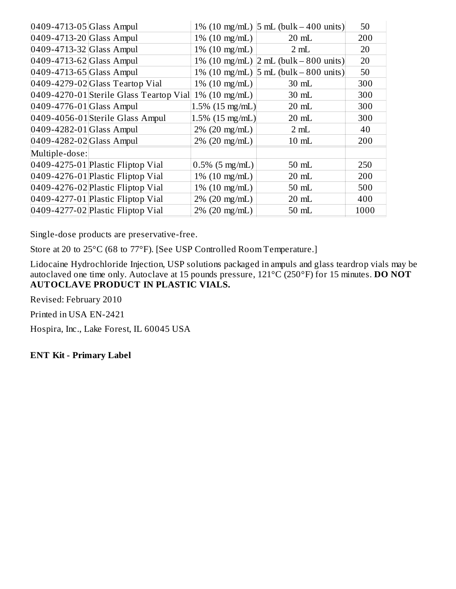| 0409-4713-05 Glass Ampul       |                                         |                    | 1% (10 mg/mL) $ 5 \text{ mL}$ (bulk – 400 units) | 50   |
|--------------------------------|-----------------------------------------|--------------------|--------------------------------------------------|------|
| 0409-4713-20 Glass Ampul       |                                         | $1\%$ (10 mg/mL)   | $20$ mL                                          | 200  |
| $0409 - 4713 - 32$ Glass Ampul |                                         | $1\%$ (10 mg/mL)   | $2 \text{ mL}$                                   | 20   |
| $0409 - 4713 - 62$ Glass Ampul |                                         | $1\%$ (10 mg/mL)   | $2$ mL (bulk $-$ 800 units)                      | 20   |
| $0409 - 4713 - 65$ Glass Ampul |                                         | $1\%$ (10 mg/mL)   | $5$ mL (bulk – 800 units)                        | 50   |
|                                | $0409 - 4279 - 02$ Glass Teartop Vial   | $1\%$ (10 mg/mL)   | 30 mL                                            | 300  |
|                                | 0409-4270-01 Sterile Glass Teartop Vial | $1\%$ (10 mg/mL)   | 30 mL                                            | 300  |
| $0409 - 4776 - 01$ Glass Ampul |                                         | $1.5\%$ (15 mg/mL) | $20$ mL                                          | 300  |
|                                | 0409-4056-01 Sterile Glass Ampul        | $1.5\%$ (15 mg/mL) | $20 \text{ mL}$                                  | 300  |
| $0409 - 4282 - 01$ Glass Ampul |                                         | $2\%$ (20 mg/mL)   | $2 \text{ mL}$                                   | 40   |
| $[0409-4282-02]$ Glass Ampul   |                                         | $2\%$ (20 mg/mL)   | $10$ mL                                          | 200  |
| Multiple-dose:                 |                                         |                    |                                                  |      |
|                                | 0409-4275-01 Plastic Fliptop Vial       | $0.5\%$ (5 mg/mL)  | $50$ mL                                          | 250  |
|                                | $[0409-4276-01]$ Plastic Fliptop Vial   | $1\%$ (10 mg/mL)   | $20 \text{ mL}$                                  | 200  |
|                                | $[0409-4276-02]$ Plastic Fliptop Vial   | $1\%$ (10 mg/mL)   | $50$ mL                                          | 500  |
|                                | $0409 - 4277 - 01$ Plastic Fliptop Vial | 2% (20 mg/mL)      | $20 \text{ mL}$                                  | 400  |
|                                | $0409 - 4277 - 02$ Plastic Fliptop Vial | $2\%$ (20 mg/mL)   | $50$ mL                                          | 1000 |

Single-dose products are preservative-free.

Store at 20 to 25°C (68 to 77°F). [See USP Controlled Room Temperature.]

Lidocaine Hydrochloride Injection, USP solutions packaged in ampuls and glass teardrop vials may be autoclaved one time only. Autoclave at 15 pounds pressure, 121°C (250°F) for 15 minutes. **DO NOT AUTOCLAVE PRODUCT IN PLASTIC VIALS.**

Revised: February 2010

Printed in USA EN-2421

Hospira, Inc., Lake Forest, IL 60045 USA

**ENT Kit - Primary Label**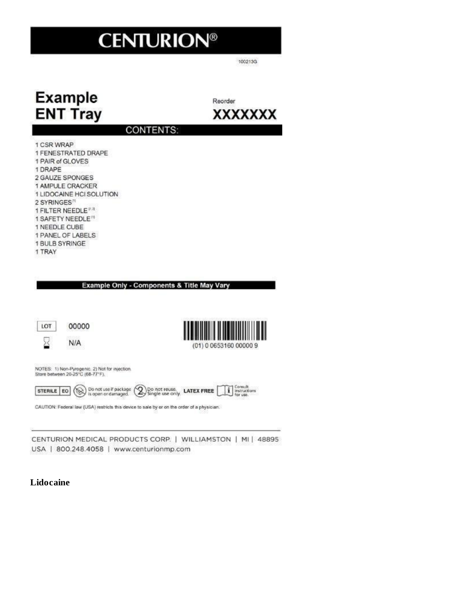# **CENTURION®**

100213G

# **Example ENT Tray**



#### **CONTENTS:**

1 CSR WRAP 1 FENESTRATED DRAPE 1 PAIR of GLOVES 1 DRAPE 2 GAUZE SPONGES 1 AMPULE CRACKER 1 LIDOCAINE HCI SOLUTION 2 SYRINGES<sup>N</sup> 1 FILTER NEEDLE<sup>11.11</sup> 1 SAFETY NEEDLE<sup>11</sup> 1 NEEDLE CUBE 1 PANEL OF LABELS 1 BULB SYRINGE 1 TRAY

Example Only - Components & Title May Vary





NOTES: 1) Non-Pyrogenic. 2) Not for injection<br>Store between 20-25°C (68-77°F).

 $\boxed{\prod_{\text{for } \text{use}}}\xrightarrow{\text{Con}}$ STERILE EO (S) Do not use if package (S) Do not reuse. LATEX FREE

CAUTION: Federal law (USA) restricts this device to sale by or on the order of a physician.

CENTURION MEDICAL PRODUCTS CORP. | WILLIAMSTON | MI | 48895 USA | 800.248.4058 | www.centurionmp.com

**Lidocaine**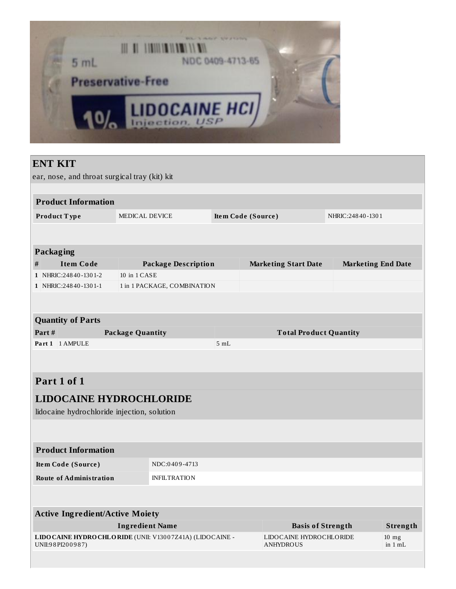

### **ENT KIT**

|                                                       |                                                                                 | ear, nose, and throat surgical tray (kit) kit |                        |                             |                                             |                             |                           |          |
|-------------------------------------------------------|---------------------------------------------------------------------------------|-----------------------------------------------|------------------------|-----------------------------|---------------------------------------------|-----------------------------|---------------------------|----------|
|                                                       |                                                                                 |                                               |                        |                             |                                             |                             |                           |          |
|                                                       |                                                                                 | <b>Product Information</b>                    |                        |                             |                                             |                             |                           |          |
|                                                       |                                                                                 | Product Type                                  | MEDICAL DEVICE         |                             | Item Code (Source)                          |                             | NHRIC: 24840-1301         |          |
|                                                       |                                                                                 |                                               |                        |                             |                                             |                             |                           |          |
|                                                       |                                                                                 |                                               |                        |                             |                                             |                             |                           |          |
|                                                       |                                                                                 | <b>Packaging</b>                              |                        |                             |                                             |                             |                           |          |
| #                                                     |                                                                                 | <b>Item Code</b>                              |                        | <b>Package Description</b>  |                                             | <b>Marketing Start Date</b> | <b>Marketing End Date</b> |          |
|                                                       |                                                                                 | 1 NHRIC: 24840-1301-2                         | 10 in 1 CASE           |                             |                                             |                             |                           |          |
|                                                       |                                                                                 | 1 NHRIC: 24840-1301-1                         |                        | 1 in 1 PACKAGE, COMBINATION |                                             |                             |                           |          |
|                                                       |                                                                                 |                                               |                        |                             |                                             |                             |                           |          |
|                                                       |                                                                                 |                                               |                        |                             |                                             |                             |                           |          |
|                                                       | <b>Quantity of Parts</b><br><b>Package Quantity</b>                             |                                               |                        |                             |                                             |                             |                           |          |
|                                                       | Part#                                                                           |                                               |                        |                             | <b>Total Product Quantity</b>               |                             |                           |          |
|                                                       |                                                                                 | Part 1 1 AMPULE                               |                        |                             | 5mL                                         |                             |                           |          |
|                                                       |                                                                                 |                                               |                        |                             |                                             |                             |                           |          |
|                                                       |                                                                                 |                                               |                        |                             |                                             |                             |                           |          |
|                                                       |                                                                                 | Part 1 of 1                                   |                        |                             |                                             |                             |                           |          |
|                                                       |                                                                                 | <b>LIDOCAINE HYDROCHLORIDE</b>                |                        |                             |                                             |                             |                           |          |
|                                                       |                                                                                 | lidocaine hydrochloride injection, solution   |                        |                             |                                             |                             |                           |          |
|                                                       |                                                                                 |                                               |                        |                             |                                             |                             |                           |          |
|                                                       |                                                                                 |                                               |                        |                             |                                             |                             |                           |          |
|                                                       |                                                                                 | <b>Product Information</b>                    |                        |                             |                                             |                             |                           |          |
| Item Code (Source)<br>NDC:0409-4713                   |                                                                                 |                                               |                        |                             |                                             |                             |                           |          |
| <b>Route of Administration</b><br><b>INFILTRATION</b> |                                                                                 |                                               |                        |                             |                                             |                             |                           |          |
|                                                       |                                                                                 |                                               |                        |                             |                                             |                             |                           |          |
|                                                       |                                                                                 |                                               |                        |                             |                                             |                             |                           |          |
|                                                       | <b>Active Ingredient/Active Moiety</b>                                          |                                               |                        |                             |                                             |                             |                           |          |
|                                                       |                                                                                 |                                               | <b>Ingredient Name</b> |                             |                                             | <b>Basis of Strength</b>    |                           | Strength |
|                                                       | LIDO CAINE HYDRO CHLO RIDE (UNII: V13007Z41A) (LIDO CAINE -<br>UNII:98PI200987) |                                               |                        |                             | LIDOCAINE HYDROCHLORIDE<br><b>ANHYDROUS</b> |                             | $10$ mg<br>in $1 mL$      |          |